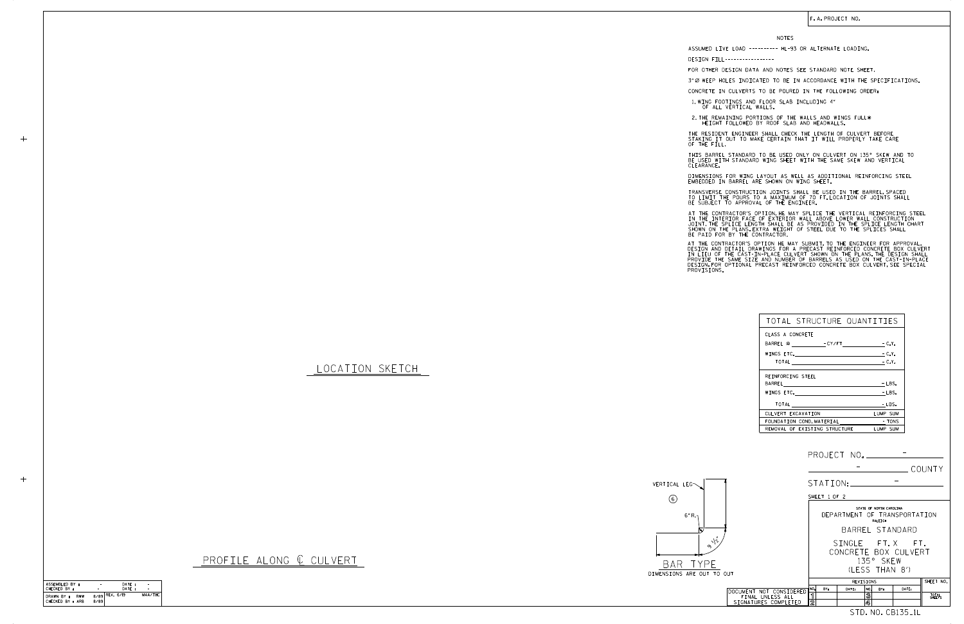|                                                                     |                                    |                                         |                                            |       | COUNTY          |
|---------------------------------------------------------------------|------------------------------------|-----------------------------------------|--------------------------------------------|-------|-----------------|
|                                                                     | STATION:                           |                                         |                                            |       |                 |
|                                                                     | SHEET 1 OF 2                       |                                         |                                            |       |                 |
|                                                                     |                                    | DEPARTMENT OF TRANSPORTATION            | STATE OF NORTH CAROLINA<br>RALEIGH         |       |                 |
|                                                                     |                                    |                                         | BARREL STANDARD                            |       |                 |
| $\sqrt{i}$<br>TO OUT                                                |                                    | SINGLE FT.X FT.<br>CONCRETE BOX CULVERT | 135° SKEW<br>(1 FSS THAN 8')               |       |                 |
|                                                                     |                                    | REVISIONS                               |                                            |       | SHEET NO.       |
| DOCUMENT NOT CONSIDERED<br>FINAL UNLESS ALL<br>SIGNATURES COMPLETED | NO.<br>BY:<br>ิร<br>$\overline{2}$ | DATE:                                   | NO.<br>BY:<br>$\overline{\mathbf{3}}$<br>4 | DATE: | TOTAL<br>SHEETS |
|                                                                     |                                    |                                         | STD. NO. CB135 <sub>-</sub> 1L             |       |                 |

| ASSEMBLED BY:    | $\overline{\phantom{a}}$ | DATE: |         |
|------------------|--------------------------|-------|---------|
| CHECKED BY :     |                          | DATF: |         |
| DRAWN BY:<br>RWW | 8/89 REV. 6/19           |       | MAA/THC |
| CHECKED BY : ARB | 8/89                     |       |         |
|                  |                          |       |         |

 $+$ 

 $+$ 

LOCATION SKETCH

PROFILE ALONG { CULVERT



| TOTAL STRUCTURE QUANTITIES                                                                                                                                                                                                     |          |
|--------------------------------------------------------------------------------------------------------------------------------------------------------------------------------------------------------------------------------|----------|
| CLASS A CONCRETE                                                                                                                                                                                                               |          |
| BARREL @ - CY/FT - C.Y.                                                                                                                                                                                                        |          |
| WINGS ETC. The contract of the contract of the contract of the contract of the contract of the contract of the                                                                                                                 | $-C.Y.$  |
|                                                                                                                                                                                                                                | $-C.Y.$  |
| REINFORCING STEEL                                                                                                                                                                                                              |          |
|                                                                                                                                                                                                                                | $-LBS.$  |
| WINGS ETC. The contract of the contract of the contract of the contract of the contract of the contract of the contract of the contract of the contract of the contract of the contract of the contract of the contract of the | $-LBS.$  |
| TOTAL                                                                                                                                                                                                                          | - LBS.   |
| CULVERT EXCAVATION                                                                                                                                                                                                             | LUMP SUM |
| FOUNDATION COND. MATERIAL TONS                                                                                                                                                                                                 |          |
| REMOVAL OF EXISTING STRUCTURE                                                                                                                                                                                                  | LUMP SUM |

NOTES

DESIGN FILL-----------------

FOR OTHER DESIGN DATA AND NOTES SEE STANDARD NOTE SHEET.

3" Ø WEEP HOLES INDICATED TO BE IN ACCORDANCE WITH THE SPECIFICATIONS.

CONCRETE IN CULVERTS TO BE POURED IN THE FOLLOWING ORDER:

1.WING FOOTINGS AND FLOOR SLAB INCLUDING 4"<br>OF ALL VERTICAL WALLS.

IN THE INTERIOR FACE OF EXTERIOR WALL ABOVE LOWER WALL CONSTRUCTION<br>JOINT.THE SPLICE LENGTH SHALL BE AS PROVIDED IN THE SPLICE LENGTH CHART<br>SHOWN ON THE PLANS.EXTRA WEIGHT OF STEEL DUE TO THE SPLICES SHALL<br>BE PAID FOR BY T AT THE CONTRACTOR'S OPTION, HE MAY SPLICE THE VERTICAL REINFORCING STEEL

AT THE CONTRACTOR'S OPTION HE MAY SUBMIT, TO THE ENGINEER FOR APPROVAL,<br>DESIGN AND DETAIL DRAWINGS FOR A PRECAST REINFORCED CONCRETE BOX CULVERT<br>IN LIEU OF THE CAST-IN-PLACE CULVERT SHOWN ON THE PLANS.THE DESIGN SHALL<br>PROV

BE USED WITH STANDARD WING SHEET WITH THE SAME SKEW AND VERTICAL CLEARANCE. THIS BARREL STANDARD TO BE USED ONLY ON CULVERT ON 135° SKEW AND TO

DIMENSIONS FOR WING LAYOUT AS WELL AS ADDITIONAL REINFORCING STEEL<br>EMBEDDED IN BARREL ARE SHOWN ON WING SHEET.

TRANSVERSE CONSTRUCTION JOINTS SHALL BE USED IN THE BARREL,SPACED<br>TO LIMIT THE POURS TO A MAXIMUM OF 70 FT.LOCATION OF JOINTS SHALL<br>BE SUBJECT TO APPROVAL OF THE ENGINEER.

2. THE REMAINING PORTIONS OF THE WALLS AND WINGS FULL HEIGHT FOLLOWED BY ROOF SLAB AND HEADWALLS.

THE RESIDENT ENGINEER SHALL CHECK THE LENGTH OF CULVERT BEFORE<br>STAKING IT OUT TO MAKE CERTAIN THAT IT WILL PROPERLY TAKE CARE<br>OF THE FILL.

ASSUMED LIVE LOAD ---------- HL-93 OR ALTERNATE LOADING.